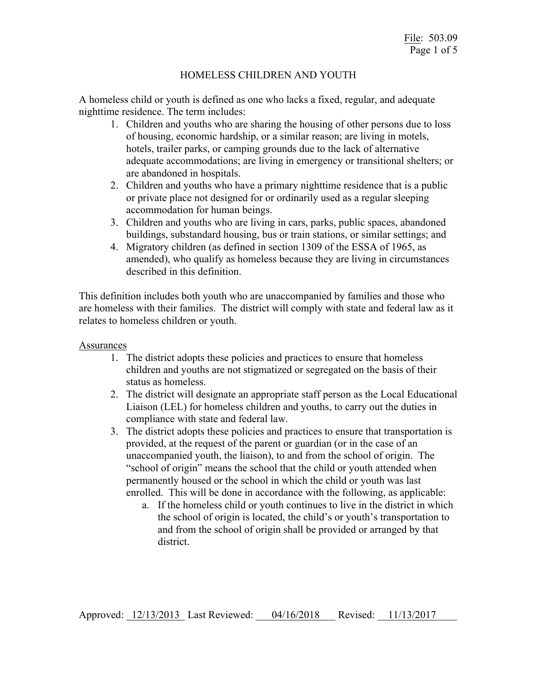## HOMELESS CHILDREN AND YOUTH

A homeless child or youth is defined as one who lacks a fixed, regular, and adequate nighttime residence. The term includes:

- 1. Children and youths who are sharing the housing of other persons due to loss of housing, economic hardship, or a similar reason; are living in motels, hotels, trailer parks, or camping grounds due to the lack of alternative adequate accommodations; are living in emergency or transitional shelters; or are abandoned in hospitals.
- 2. Children and youths who have a primary nighttime residence that is a public or private place not designed for or ordinarily used as a regular sleeping accommodation for human beings.
- 3. Children and youths who are living in cars, parks, public spaces, abandoned buildings, substandard housing, bus or train stations, or similar settings; and
- 4. Migratory children (as defined in section 1309 of the ESSA of 1965, as amended), who qualify as homeless because they are living in circumstances described in this definition.

This definition includes both youth who are unaccompanied by families and those who are homeless with their families. The district will comply with state and federal law as it relates to homeless children or youth.

## Assurances

- 1. The district adopts these policies and practices to ensure that homeless children and youths are not stigmatized or segregated on the basis of their status as homeless.
- 2. The district will designate an appropriate staff person as the Local Educational Liaison (LEL) for homeless children and youths, to carry out the duties in compliance with state and federal law.
- 3. The district adopts these policies and practices to ensure that transportation is provided, at the request of the parent or guardian (or in the case of an unaccompanied youth, the liaison), to and from the school of origin. The "school of origin" means the school that the child or youth attended when permanently housed or the school in which the child or youth was last enrolled. This will be done in accordance with the following, as applicable:
	- a. If the homeless child or youth continues to live in the district in which the school of origin is located, the child's or youth's transportation to and from the school of origin shall be provided or arranged by that district.

Approved: 12/13/2013 Last Reviewed:  $04/16/2018$  Revised: 11/13/2017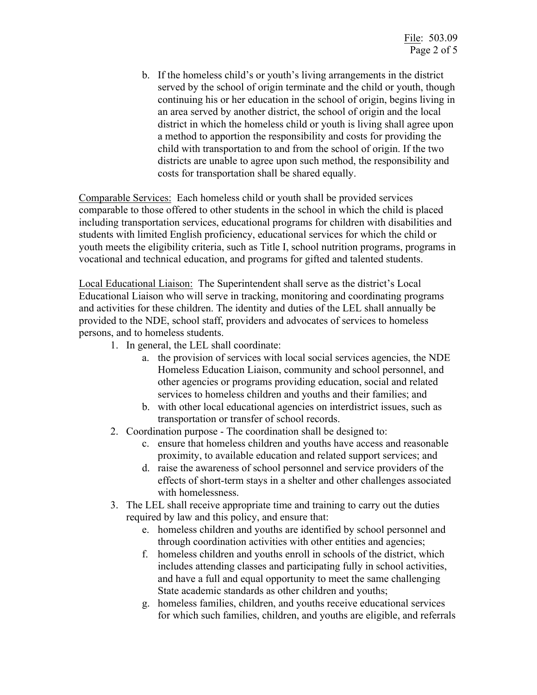b. If the homeless child's or youth's living arrangements in the district served by the school of origin terminate and the child or youth, though continuing his or her education in the school of origin, begins living in an area served by another district, the school of origin and the local district in which the homeless child or youth is living shall agree upon a method to apportion the responsibility and costs for providing the child with transportation to and from the school of origin. If the two districts are unable to agree upon such method, the responsibility and costs for transportation shall be shared equally.

Comparable Services: Each homeless child or youth shall be provided services comparable to those offered to other students in the school in which the child is placed including transportation services, educational programs for children with disabilities and students with limited English proficiency, educational services for which the child or youth meets the eligibility criteria, such as Title I, school nutrition programs, programs in vocational and technical education, and programs for gifted and talented students.

Local Educational Liaison: The Superintendent shall serve as the district's Local Educational Liaison who will serve in tracking, monitoring and coordinating programs and activities for these children. The identity and duties of the LEL shall annually be provided to the NDE, school staff, providers and advocates of services to homeless persons, and to homeless students.

- 1. In general, the LEL shall coordinate:
	- a. the provision of services with local social services agencies, the NDE Homeless Education Liaison, community and school personnel, and other agencies or programs providing education, social and related services to homeless children and youths and their families; and
	- b. with other local educational agencies on interdistrict issues, such as transportation or transfer of school records.
- 2. Coordination purpose The coordination shall be designed to:
	- c. ensure that homeless children and youths have access and reasonable proximity, to available education and related support services; and
	- d. raise the awareness of school personnel and service providers of the effects of short-term stays in a shelter and other challenges associated with homelessness.
- 3. The LEL shall receive appropriate time and training to carry out the duties required by law and this policy, and ensure that:
	- e. homeless children and youths are identified by school personnel and through coordination activities with other entities and agencies;
	- f. homeless children and youths enroll in schools of the district, which includes attending classes and participating fully in school activities, and have a full and equal opportunity to meet the same challenging State academic standards as other children and youths;
	- g. homeless families, children, and youths receive educational services for which such families, children, and youths are eligible, and referrals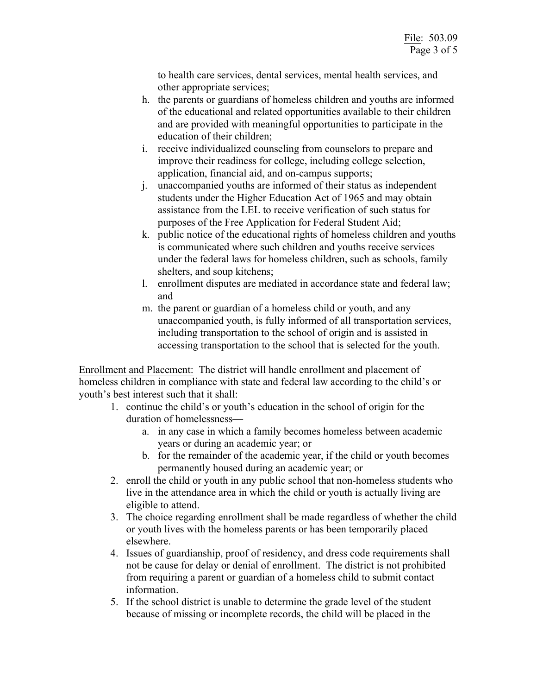to health care services, dental services, mental health services, and other appropriate services;

- h. the parents or guardians of homeless children and youths are informed of the educational and related opportunities available to their children and are provided with meaningful opportunities to participate in the education of their children;
- i. receive individualized counseling from counselors to prepare and improve their readiness for college, including college selection, application, financial aid, and on-campus supports;
- j. unaccompanied youths are informed of their status as independent students under the Higher Education Act of 1965 and may obtain assistance from the LEL to receive verification of such status for purposes of the Free Application for Federal Student Aid;
- k. public notice of the educational rights of homeless children and youths is communicated where such children and youths receive services under the federal laws for homeless children, such as schools, family shelters, and soup kitchens;
- l. enrollment disputes are mediated in accordance state and federal law; and
- m. the parent or guardian of a homeless child or youth, and any unaccompanied youth, is fully informed of all transportation services, including transportation to the school of origin and is assisted in accessing transportation to the school that is selected for the youth.

Enrollment and Placement: The district will handle enrollment and placement of homeless children in compliance with state and federal law according to the child's or youth's best interest such that it shall:

- 1. continue the child's or youth's education in the school of origin for the duration of homelessness
	- a. in any case in which a family becomes homeless between academic years or during an academic year; or
	- b. for the remainder of the academic year, if the child or youth becomes permanently housed during an academic year; or
- 2. enroll the child or youth in any public school that non-homeless students who live in the attendance area in which the child or youth is actually living are eligible to attend.
- 3. The choice regarding enrollment shall be made regardless of whether the child or youth lives with the homeless parents or has been temporarily placed elsewhere.
- 4. Issues of guardianship, proof of residency, and dress code requirements shall not be cause for delay or denial of enrollment. The district is not prohibited from requiring a parent or guardian of a homeless child to submit contact information.
- 5. If the school district is unable to determine the grade level of the student because of missing or incomplete records, the child will be placed in the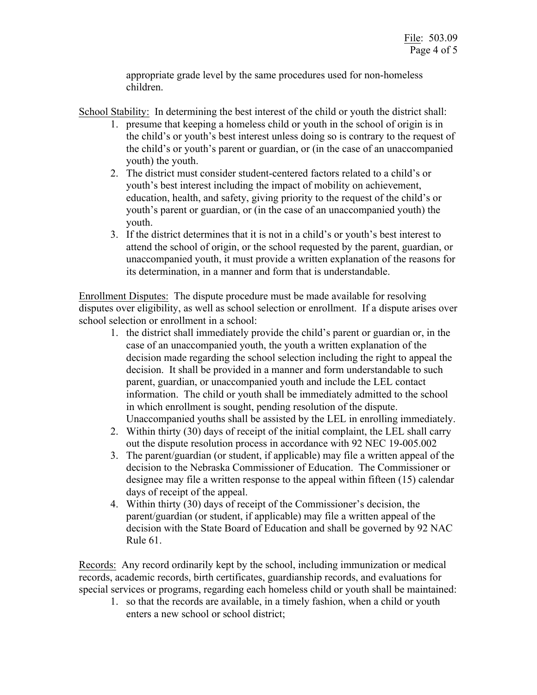appropriate grade level by the same procedures used for non-homeless children.

School Stability: In determining the best interest of the child or youth the district shall:

- 1. presume that keeping a homeless child or youth in the school of origin is in the child's or youth's best interest unless doing so is contrary to the request of the child's or youth's parent or guardian, or (in the case of an unaccompanied youth) the youth.
- 2. The district must consider student-centered factors related to a child's or youth's best interest including the impact of mobility on achievement, education, health, and safety, giving priority to the request of the child's or youth's parent or guardian, or (in the case of an unaccompanied youth) the youth.
- 3. If the district determines that it is not in a child's or youth's best interest to attend the school of origin, or the school requested by the parent, guardian, or unaccompanied youth, it must provide a written explanation of the reasons for its determination, in a manner and form that is understandable.

Enrollment Disputes: The dispute procedure must be made available for resolving disputes over eligibility, as well as school selection or enrollment. If a dispute arises over school selection or enrollment in a school:

- 1. the district shall immediately provide the child's parent or guardian or, in the case of an unaccompanied youth, the youth a written explanation of the decision made regarding the school selection including the right to appeal the decision. It shall be provided in a manner and form understandable to such parent, guardian, or unaccompanied youth and include the LEL contact information. The child or youth shall be immediately admitted to the school in which enrollment is sought, pending resolution of the dispute. Unaccompanied youths shall be assisted by the LEL in enrolling immediately.
- 2. Within thirty (30) days of receipt of the initial complaint, the LEL shall carry out the dispute resolution process in accordance with 92 NEC 19-005.002
- 3. The parent/guardian (or student, if applicable) may file a written appeal of the decision to the Nebraska Commissioner of Education. The Commissioner or designee may file a written response to the appeal within fifteen (15) calendar days of receipt of the appeal.
- 4. Within thirty (30) days of receipt of the Commissioner's decision, the parent/guardian (or student, if applicable) may file a written appeal of the decision with the State Board of Education and shall be governed by 92 NAC Rule 61.

Records: Any record ordinarily kept by the school, including immunization or medical records, academic records, birth certificates, guardianship records, and evaluations for special services or programs, regarding each homeless child or youth shall be maintained:

1. so that the records are available, in a timely fashion, when a child or youth enters a new school or school district;